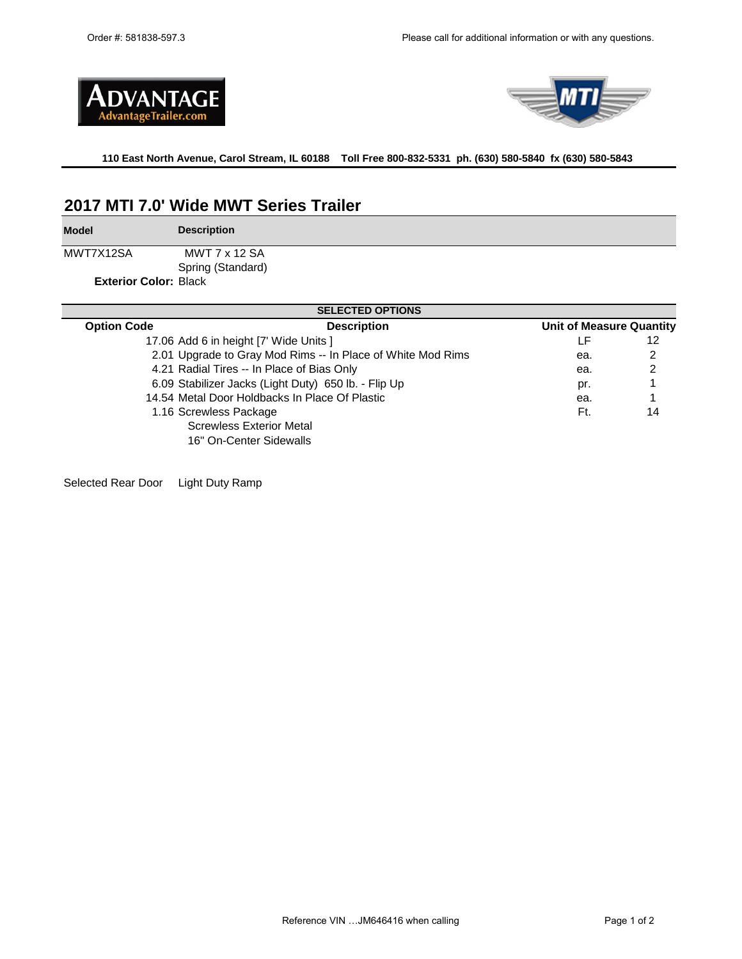



**110 East North Avenue, Carol Stream, IL 60188 Toll Free 800-832-5331 ph. (630) 580-5840 fx (630) 580-5843** 

# **2017 MTI 7.0' Wide MWT Series Trailer**

**Model**

**Description**

MWT7X12SA Spring (Standard) MWT 7 x 12 SA

**Exterior Color:** Black

| <b>SELECTED OPTIONS</b> |                                                             |                                 |    |  |  |  |
|-------------------------|-------------------------------------------------------------|---------------------------------|----|--|--|--|
| <b>Option Code</b>      | <b>Description</b>                                          | <b>Unit of Measure Quantity</b> |    |  |  |  |
|                         | 17.06 Add 6 in height [7' Wide Units ]                      | ΙF                              | 12 |  |  |  |
|                         | 2.01 Upgrade to Gray Mod Rims -- In Place of White Mod Rims | ea.                             | 2  |  |  |  |
|                         | 4.21 Radial Tires -- In Place of Bias Only                  | ea.                             | 2  |  |  |  |
|                         | 6.09 Stabilizer Jacks (Light Duty) 650 lb. - Flip Up        | pr.                             |    |  |  |  |
|                         | 14.54 Metal Door Holdbacks In Place Of Plastic              | ea.                             |    |  |  |  |
|                         | 1.16 Screwless Package                                      | Ft.                             | 14 |  |  |  |
|                         | <b>Screwless Exterior Metal</b>                             |                                 |    |  |  |  |
|                         | 16" On-Center Sidewalls                                     |                                 |    |  |  |  |

Selected Rear Door Light Duty Ramp